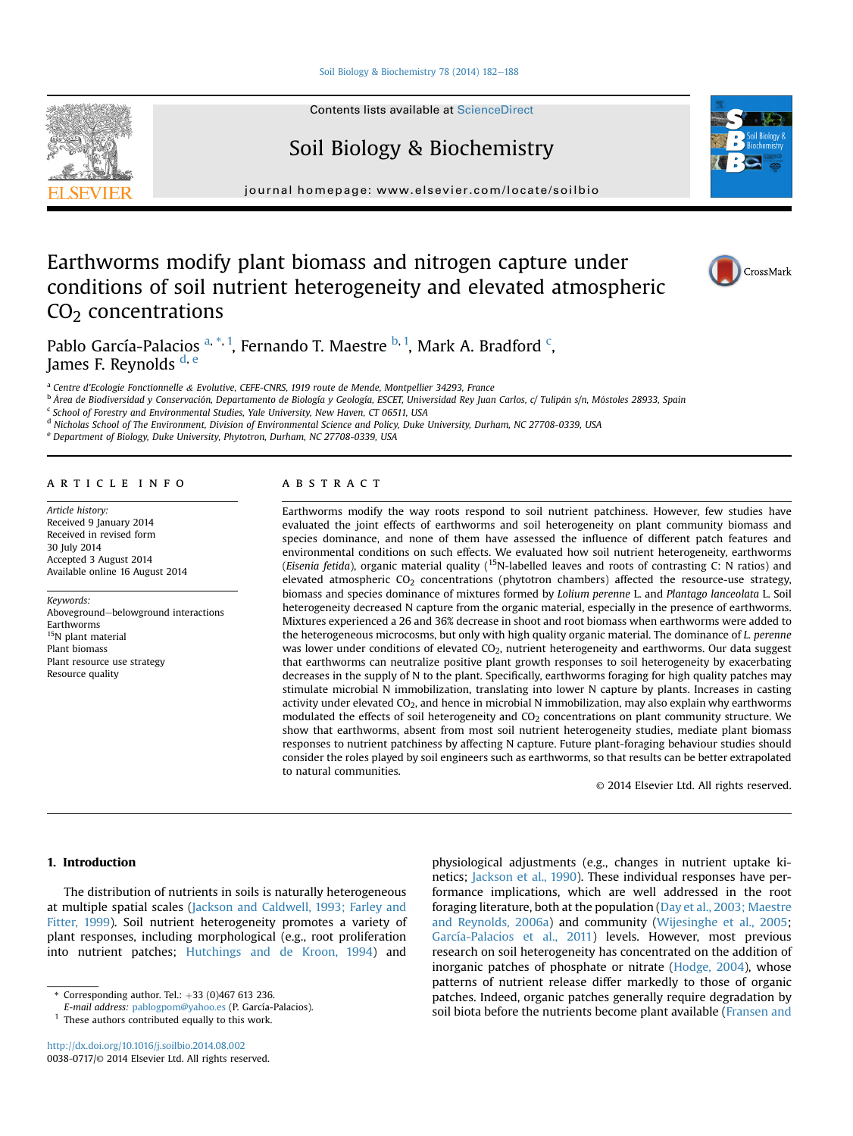#### [Soil Biology & Biochemistry 78 \(2014\) 182](http://dx.doi.org/10.1016/j.soilbio.2014.08.002)-[188](http://dx.doi.org/10.1016/j.soilbio.2014.08.002)



# Soil Biology & Biochemistry

journal homepage: [www.elsevier.com/locate/soilbio](http://www.elsevier.com/locate/soilbio)

# Earthworms modify plant biomass and nitrogen capture under conditions of soil nutrient heterogeneity and elevated atmospheric  $CO<sub>2</sub>$  concentrations



Pablo García-Palacios <sup>a, \*, 1</sup>, Fernando T. Maestre <sup>b, 1</sup>, Mark A. Bradford <sup>c</sup>, James F. Reynolds d, e

<sup>a</sup> Centre d'Ecologie Fonctionnelle & Evolutive, CEFE-CNRS, 1919 route de Mende, Montpellier 34293, France

<sup>b</sup> Área de Biodiversidad y Conservación, Departamento de Biología y Geología, ESCET, Universidad Rey Juan Carlos, c/ Tulipán s/n, Móstoles 28933, Spain

 $c$  School of Forestry and Environmental Studies, Yale University, New Haven, CT 06511, USA

<sup>d</sup> Nicholas School of The Environment, Division of Environmental Science and Policy, Duke University, Durham, NC 27708-0339, USA

<sup>e</sup> Department of Biology, Duke University, Phytotron, Durham, NC 27708-0339, USA

# ARTICLE INFO

Article history: Received 9 January 2014 Received in revised form 30 July 2014 Accepted 3 August 2014 Available online 16 August 2014

#### Keywords:

Aboveground-belowground interactions Earthworms <sup>15</sup>N plant material Plant biomass Plant resource use strategy Resource quality

# ABSTRACT

Earthworms modify the way roots respond to soil nutrient patchiness. However, few studies have evaluated the joint effects of earthworms and soil heterogeneity on plant community biomass and species dominance, and none of them have assessed the influence of different patch features and environmental conditions on such effects. We evaluated how soil nutrient heterogeneity, earthworms (Eisenia fetida), organic material quality (<sup>15</sup>N-labelled leaves and roots of contrasting C: N ratios) and elevated atmospheric CO<sub>2</sub> concentrations (phytotron chambers) affected the resource-use strategy, biomass and species dominance of mixtures formed by Lolium perenne L. and Plantago lanceolata L. Soil heterogeneity decreased N capture from the organic material, especially in the presence of earthworms. Mixtures experienced a 26 and 36% decrease in shoot and root biomass when earthworms were added to the heterogeneous microcosms, but only with high quality organic material. The dominance of L. perenne was lower under conditions of elevated CO<sub>2</sub>, nutrient heterogeneity and earthworms. Our data suggest that earthworms can neutralize positive plant growth responses to soil heterogeneity by exacerbating decreases in the supply of N to the plant. Specifically, earthworms foraging for high quality patches may stimulate microbial N immobilization, translating into lower N capture by plants. Increases in casting activity under elevated  $CO<sub>2</sub>$ , and hence in microbial N immobilization, may also explain why earthworms modulated the effects of soil heterogeneity and CO<sub>2</sub> concentrations on plant community structure. We show that earthworms, absent from most soil nutrient heterogeneity studies, mediate plant biomass responses to nutrient patchiness by affecting N capture. Future plant-foraging behaviour studies should consider the roles played by soil engineers such as earthworms, so that results can be better extrapolated to natural communities.

© 2014 Elsevier Ltd. All rights reserved.

# 1. Introduction

The distribution of nutrients in soils is naturally heterogeneous at multiple spatial scales [\(Jackson and Caldwell, 1993; Farley and](#page-6-0) [Fitter, 1999\)](#page-6-0). Soil nutrient heterogeneity promotes a variety of plant responses, including morphological (e.g., root proliferation into nutrient patches; [Hutchings and de Kroon, 1994](#page-6-0)) and physiological adjustments (e.g., changes in nutrient uptake kinetics; [Jackson et al., 1990\)](#page-6-0). These individual responses have performance implications, which are well addressed in the root foraging literature, both at the population [\(Day et al., 2003; Maestre](#page-6-0) [and Reynolds, 2006a](#page-6-0)) and community ([Wijesinghe et al., 2005](#page-6-0); [García-Palacios et al., 2011\)](#page-6-0) levels. However, most previous research on soil heterogeneity has concentrated on the addition of inorganic patches of phosphate or nitrate ([Hodge, 2004\)](#page-6-0), whose patterns of nutrient release differ markedly to those of organic patches. Indeed, organic patches generally require degradation by soil biota before the nutrients become plant available [\(Fransen and](#page-6-0)



<sup>\*</sup> Corresponding author. Tel.:  $+33$  (0)467 613 236.

E-mail address: [pablogpom@yahoo.es](mailto:pablogpom@yahoo.es) (P. García-Palacios).

 $1$  These authors contributed equally to this work.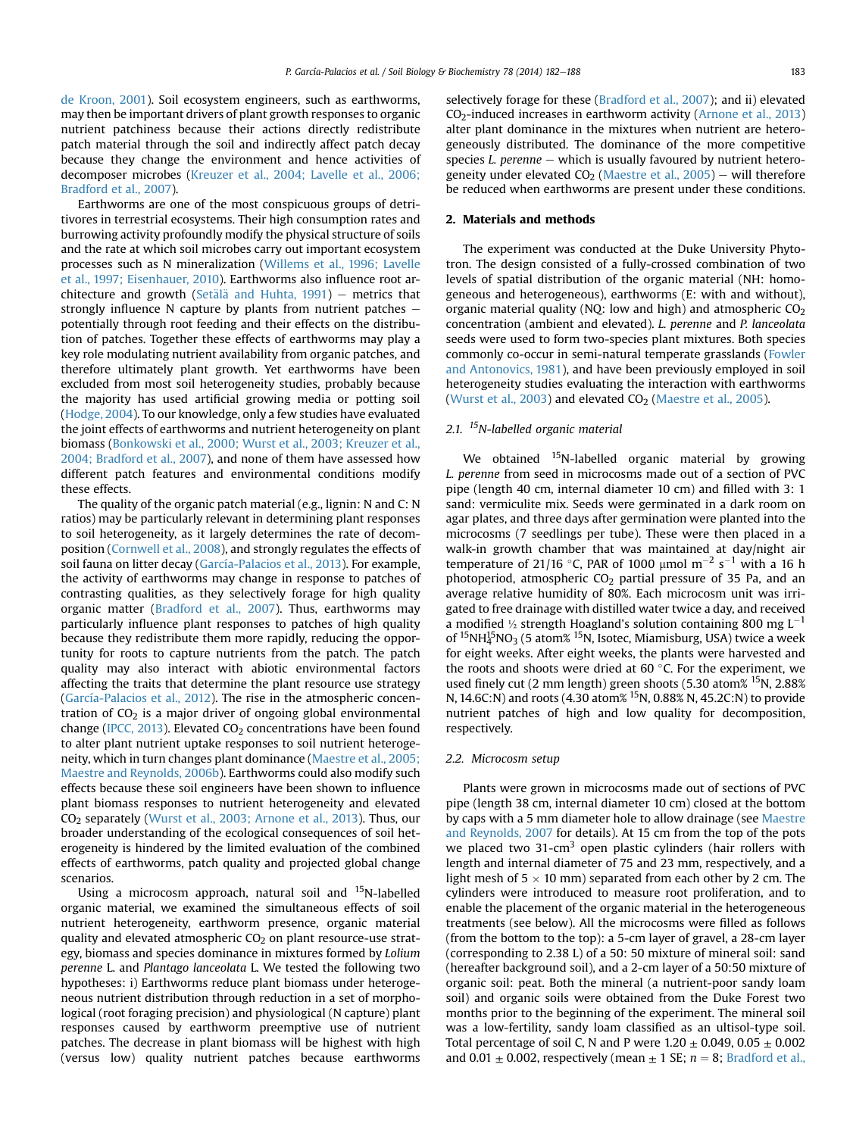[de Kroon, 2001\)](#page-6-0). Soil ecosystem engineers, such as earthworms, may then be important drivers of plant growth responses to organic nutrient patchiness because their actions directly redistribute patch material through the soil and indirectly affect patch decay because they change the environment and hence activities of decomposer microbes [\(Kreuzer et al., 2004; Lavelle et al., 2006;](#page-6-0) [Bradford et al., 2007\)](#page-6-0).

Earthworms are one of the most conspicuous groups of detritivores in terrestrial ecosystems. Their high consumption rates and burrowing activity profoundly modify the physical structure of soils and the rate at which soil microbes carry out important ecosystem processes such as N mineralization ([Willems et al., 1996; Lavelle](#page-6-0) [et al., 1997; Eisenhauer, 2010\)](#page-6-0). Earthworms also influence root architecture and growth (Setälä and Huhta,  $1991$ ) – metrics that strongly influence N capture by plants from nutrient patches  $$ potentially through root feeding and their effects on the distribution of patches. Together these effects of earthworms may play a key role modulating nutrient availability from organic patches, and therefore ultimately plant growth. Yet earthworms have been excluded from most soil heterogeneity studies, probably because the majority has used artificial growing media or potting soil ([Hodge, 2004\)](#page-6-0). To our knowledge, only a few studies have evaluated the joint effects of earthworms and nutrient heterogeneity on plant biomass ([Bonkowski et al., 2000; Wurst et al., 2003; Kreuzer et al.,](#page-6-0) [2004; Bradford et al., 2007](#page-6-0)), and none of them have assessed how different patch features and environmental conditions modify these effects.

The quality of the organic patch material (e.g., lignin: N and C: N ratios) may be particularly relevant in determining plant responses to soil heterogeneity, as it largely determines the rate of decomposition [\(Cornwell et al., 2008](#page-6-0)), and strongly regulates the effects of soil fauna on litter decay [\(García-Palacios et al., 2013\)](#page-6-0). For example, the activity of earthworms may change in response to patches of contrasting qualities, as they selectively forage for high quality organic matter [\(Bradford et al., 2007](#page-6-0)). Thus, earthworms may particularly influence plant responses to patches of high quality because they redistribute them more rapidly, reducing the opportunity for roots to capture nutrients from the patch. The patch quality may also interact with abiotic environmental factors affecting the traits that determine the plant resource use strategy ([García-Palacios et al., 2012](#page-6-0)). The rise in the atmospheric concentration of  $CO<sub>2</sub>$  is a major driver of ongoing global environmental change ([IPCC, 2013](#page-6-0)). Elevated  $CO<sub>2</sub>$  concentrations have been found to alter plant nutrient uptake responses to soil nutrient heterogeneity, which in turn changes plant dominance ([Maestre et al., 2005;](#page-6-0) [Maestre and Reynolds, 2006b\)](#page-6-0). Earthworms could also modify such effects because these soil engineers have been shown to influence plant biomass responses to nutrient heterogeneity and elevated CO2 separately ([Wurst et al., 2003; Arnone et al., 2013](#page-6-0)). Thus, our broader understanding of the ecological consequences of soil heterogeneity is hindered by the limited evaluation of the combined effects of earthworms, patch quality and projected global change scenarios.

Using a microcosm approach, natural soil and <sup>15</sup>N-labelled organic material, we examined the simultaneous effects of soil nutrient heterogeneity, earthworm presence, organic material quality and elevated atmospheric  $CO<sub>2</sub>$  on plant resource-use strategy, biomass and species dominance in mixtures formed by Lolium perenne L. and Plantago lanceolata L. We tested the following two hypotheses: i) Earthworms reduce plant biomass under heterogeneous nutrient distribution through reduction in a set of morphological (root foraging precision) and physiological (N capture) plant responses caused by earthworm preemptive use of nutrient patches. The decrease in plant biomass will be highest with high (versus low) quality nutrient patches because earthworms selectively forage for these [\(Bradford et al., 2007\)](#page-6-0); and ii) elevated CO2-induced increases in earthworm activity ([Arnone et al., 2013\)](#page-6-0) alter plant dominance in the mixtures when nutrient are heterogeneously distributed. The dominance of the more competitive species  $L$ . perenne – which is usually favoured by nutrient heterogeneity under elevated  $CO<sub>2</sub>$  [\(Maestre et al., 2005](#page-6-0)) – will therefore be reduced when earthworms are present under these conditions.

## 2. Materials and methods

The experiment was conducted at the Duke University Phytotron. The design consisted of a fully-crossed combination of two levels of spatial distribution of the organic material (NH: homogeneous and heterogeneous), earthworms (E: with and without), organic material quality (NQ: low and high) and atmospheric  $CO<sub>2</sub>$ concentration (ambient and elevated). L. perenne and P. lanceolata seeds were used to form two-species plant mixtures. Both species commonly co-occur in semi-natural temperate grasslands ([Fowler](#page-6-0) [and Antonovics, 1981\)](#page-6-0), and have been previously employed in soil heterogeneity studies evaluating the interaction with earthworms ([Wurst et al., 2003](#page-6-0)) and elevated  $CO<sub>2</sub>$  [\(Maestre et al., 2005](#page-6-0)).

# 2.1.  $15N$ -labelled organic material

We obtained <sup>15</sup>N-labelled organic material by growing L. perenne from seed in microcosms made out of a section of PVC pipe (length 40 cm, internal diameter 10 cm) and filled with 3: 1 sand: vermiculite mix. Seeds were germinated in a dark room on agar plates, and three days after germination were planted into the microcosms (7 seedlings per tube). These were then placed in a walk-in growth chamber that was maintained at day/night air temperature of 21/16 °C, PAR of 1000 µmol m<sup>-2</sup> s<sup>-1</sup> with a 16 h photoperiod, atmospheric  $CO<sub>2</sub>$  partial pressure of 35 Pa, and an average relative humidity of 80%. Each microcosm unit was irrigated to free drainage with distilled water twice a day, and received a modified  $\frac{1}{2}$  strength Hoagland's solution containing 800 mg L<sup>-1</sup> of <sup>15</sup>NH<sup>15</sup>NO<sub>3</sub> (5 atom% <sup>15</sup>N, Isotec, Miamisburg, USA) twice a week for eight weeks. After eight weeks, the plants were harvested and the roots and shoots were dried at 60  $\degree$ C. For the experiment, we used finely cut (2 mm length) green shoots (5.30 atom% <sup>15</sup>N, 2.88% N, 14.6C:N) and roots (4.30 atom%  $^{15}N$ , 0.88% N, 45.2C:N) to provide nutrient patches of high and low quality for decomposition, respectively.

#### 2.2. Microcosm setup

Plants were grown in microcosms made out of sections of PVC pipe (length 38 cm, internal diameter 10 cm) closed at the bottom by caps with a 5 mm diameter hole to allow drainage (see [Maestre](#page-6-0) [and Reynolds, 2007](#page-6-0) for details). At 15 cm from the top of the pots we placed two  $31$ -cm<sup>3</sup> open plastic cylinders (hair rollers with length and internal diameter of 75 and 23 mm, respectively, and a light mesh of  $5 \times 10$  mm) separated from each other by 2 cm. The cylinders were introduced to measure root proliferation, and to enable the placement of the organic material in the heterogeneous treatments (see below). All the microcosms were filled as follows (from the bottom to the top): a 5-cm layer of gravel, a 28-cm layer (corresponding to 2.38 L) of a 50: 50 mixture of mineral soil: sand (hereafter background soil), and a 2-cm layer of a 50:50 mixture of organic soil: peat. Both the mineral (a nutrient-poor sandy loam soil) and organic soils were obtained from the Duke Forest two months prior to the beginning of the experiment. The mineral soil was a low-fertility, sandy loam classified as an ultisol-type soil. Total percentage of soil C, N and P were  $1.20 \pm 0.049$ ,  $0.05 \pm 0.002$ and 0.01  $\pm$  0.002, respectively (mean  $\pm$  1 SE; n = 8; [Bradford et al.,](#page-6-0)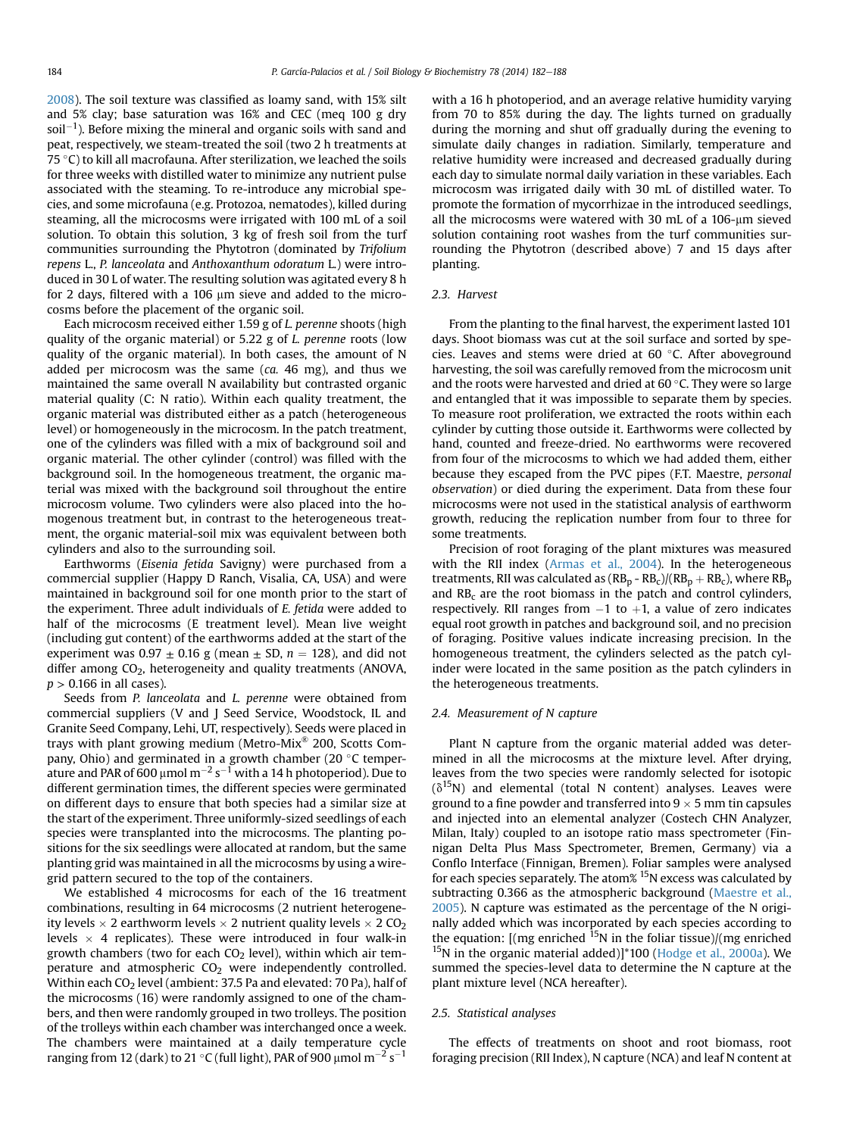[2008](#page-6-0)). The soil texture was classified as loamy sand, with 15% silt and 5% clay; base saturation was 16% and CEC (meq 100 g dry soil $^{-1}$ ). Before mixing the mineral and organic soils with sand and peat, respectively, we steam-treated the soil (two 2 h treatments at 75 °C) to kill all macrofauna. After sterilization, we leached the soils for three weeks with distilled water to minimize any nutrient pulse associated with the steaming. To re-introduce any microbial species, and some microfauna (e.g. Protozoa, nematodes), killed during steaming, all the microcosms were irrigated with 100 mL of a soil solution. To obtain this solution, 3 kg of fresh soil from the turf communities surrounding the Phytotron (dominated by Trifolium repens L., P. lanceolata and Anthoxanthum odoratum L.) were introduced in 30 L of water. The resulting solution was agitated every 8 h for 2 days, filtered with a 106  $\mu$ m sieve and added to the microcosms before the placement of the organic soil.

Each microcosm received either 1.59 g of L. perenne shoots (high quality of the organic material) or 5.22 g of L. perenne roots (low quality of the organic material). In both cases, the amount of N added per microcosm was the same (ca. 46 mg), and thus we maintained the same overall N availability but contrasted organic material quality (C: N ratio). Within each quality treatment, the organic material was distributed either as a patch (heterogeneous level) or homogeneously in the microcosm. In the patch treatment, one of the cylinders was filled with a mix of background soil and organic material. The other cylinder (control) was filled with the background soil. In the homogeneous treatment, the organic material was mixed with the background soil throughout the entire microcosm volume. Two cylinders were also placed into the homogenous treatment but, in contrast to the heterogeneous treatment, the organic material-soil mix was equivalent between both cylinders and also to the surrounding soil.

Earthworms (Eisenia fetida Savigny) were purchased from a commercial supplier (Happy D Ranch, Visalia, CA, USA) and were maintained in background soil for one month prior to the start of the experiment. Three adult individuals of E. fetida were added to half of the microcosms (E treatment level). Mean live weight (including gut content) of the earthworms added at the start of the experiment was  $0.97 \pm 0.16$  g (mean  $\pm$  SD,  $n = 128$ ), and did not differ among CO<sub>2</sub>, heterogeneity and quality treatments (ANOVA,  $p > 0.166$  in all cases).

Seeds from P. lanceolata and L. perenne were obtained from commercial suppliers (V and J Seed Service, Woodstock, IL and Granite Seed Company, Lehi, UT, respectively). Seeds were placed in trays with plant growing medium (Metro-Mix® 200, Scotts Company, Ohio) and germinated in a growth chamber (20  $^{\circ}$ C temperature and PAR of 600  $\mu$ mol m $^{-2}$  s $^{-1}$  with a 14 h photoperiod). Due to different germination times, the different species were germinated on different days to ensure that both species had a similar size at the start of the experiment. Three uniformly-sized seedlings of each species were transplanted into the microcosms. The planting positions for the six seedlings were allocated at random, but the same planting grid was maintained in all the microcosms by using a wiregrid pattern secured to the top of the containers.

We established 4 microcosms for each of the 16 treatment combinations, resulting in 64 microcosms (2 nutrient heterogeneity levels  $\times$  2 earthworm levels  $\times$  2 nutrient quality levels  $\times$  2 CO<sub>2</sub> levels  $\times$  4 replicates). These were introduced in four walk-in growth chambers (two for each  $CO<sub>2</sub>$  level), within which air temperature and atmospheric  $CO<sub>2</sub>$  were independently controlled. Within each CO<sub>2</sub> level (ambient: 37.5 Pa and elevated: 70 Pa), half of the microcosms (16) were randomly assigned to one of the chambers, and then were randomly grouped in two trolleys. The position of the trolleys within each chamber was interchanged once a week. The chambers were maintained at a daily temperature cycle ranging from 12 (dark) to 21 °C (full light), PAR of 900  $\mu$ mol m $^{-2}$  s $^{-1}$ 

with a 16 h photoperiod, and an average relative humidity varying from 70 to 85% during the day. The lights turned on gradually during the morning and shut off gradually during the evening to simulate daily changes in radiation. Similarly, temperature and relative humidity were increased and decreased gradually during each day to simulate normal daily variation in these variables. Each microcosm was irrigated daily with 30 mL of distilled water. To promote the formation of mycorrhizae in the introduced seedlings, all the microcosms were watered with 30 mL of a  $106$ - $\mu$ m sieved solution containing root washes from the turf communities surrounding the Phytotron (described above) 7 and 15 days after planting.

#### 2.3. Harvest

From the planting to the final harvest, the experiment lasted 101 days. Shoot biomass was cut at the soil surface and sorted by species. Leaves and stems were dried at 60  $\degree$ C. After aboveground harvesting, the soil was carefully removed from the microcosm unit and the roots were harvested and dried at 60  $\degree$ C. They were so large and entangled that it was impossible to separate them by species. To measure root proliferation, we extracted the roots within each cylinder by cutting those outside it. Earthworms were collected by hand, counted and freeze-dried. No earthworms were recovered from four of the microcosms to which we had added them, either because they escaped from the PVC pipes (F.T. Maestre, personal observation) or died during the experiment. Data from these four microcosms were not used in the statistical analysis of earthworm growth, reducing the replication number from four to three for some treatments.

Precision of root foraging of the plant mixtures was measured with the RII index ([Armas et al., 2004\)](#page-6-0). In the heterogeneous treatments, RII was calculated as  $(RB_p - RB_c)/(RB_p + RB_c)$ , where  $RB_p$ and  $RB<sub>c</sub>$  are the root biomass in the patch and control cylinders, respectively. RII ranges from  $-1$  to  $+1$ , a value of zero indicates equal root growth in patches and background soil, and no precision of foraging. Positive values indicate increasing precision. In the homogeneous treatment, the cylinders selected as the patch cylinder were located in the same position as the patch cylinders in the heterogeneous treatments.

#### 2.4. Measurement of N capture

Plant N capture from the organic material added was determined in all the microcosms at the mixture level. After drying, leaves from the two species were randomly selected for isotopic  $(\delta^{15}N)$  and elemental (total N content) analyses. Leaves were ground to a fine powder and transferred into  $9 \times 5$  mm tin capsules and injected into an elemental analyzer (Costech CHN Analyzer, Milan, Italy) coupled to an isotope ratio mass spectrometer (Finnigan Delta Plus Mass Spectrometer, Bremen, Germany) via a Conflo Interface (Finnigan, Bremen). Foliar samples were analysed for each species separately. The atom% <sup>15</sup>N excess was calculated by subtracting 0.366 as the atmospheric background ([Maestre et al.,](#page-6-0) [2005](#page-6-0)). N capture was estimated as the percentage of the N originally added which was incorporated by each species according to the equation:  $[(mg \text{ enriched }^{15}N \text{ in the foliar tissue})/(mg \text{ enriched }^{15}N)]$ <sup>15</sup>N in the organic material added)]\*100 [\(Hodge et al., 2000a\)](#page-6-0). We summed the species-level data to determine the N capture at the plant mixture level (NCA hereafter).

#### 2.5. Statistical analyses

The effects of treatments on shoot and root biomass, root foraging precision (RII Index), N capture (NCA) and leaf N content at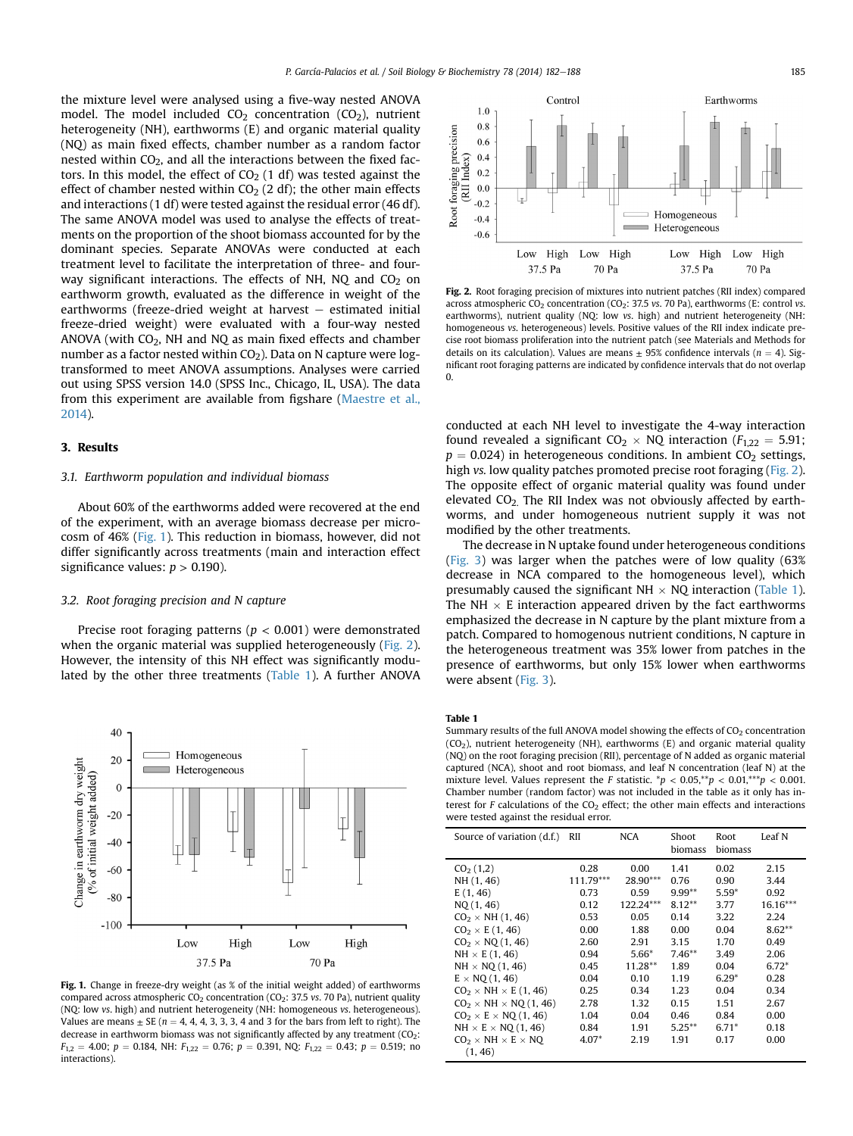<span id="page-3-0"></span>the mixture level were analysed using a five-way nested ANOVA model. The model included  $CO<sub>2</sub>$  concentration ( $CO<sub>2</sub>$ ), nutrient heterogeneity (NH), earthworms (E) and organic material quality (NQ) as main fixed effects, chamber number as a random factor nested within  $CO<sub>2</sub>$ , and all the interactions between the fixed factors. In this model, the effect of  $CO<sub>2</sub>$  (1 df) was tested against the effect of chamber nested within  $CO<sub>2</sub>$  (2 df); the other main effects and interactions (1 df) were tested against the residual error (46 df). The same ANOVA model was used to analyse the effects of treatments on the proportion of the shoot biomass accounted for by the dominant species. Separate ANOVAs were conducted at each treatment level to facilitate the interpretation of three- and fourway significant interactions. The effects of NH, NQ and  $CO<sub>2</sub>$  on earthworm growth, evaluated as the difference in weight of the earthworms (freeze-dried weight at harvest  $-$  estimated initial freeze-dried weight) were evaluated with a four-way nested ANOVA (with  $CO<sub>2</sub>$ , NH and NQ as main fixed effects and chamber number as a factor nested within  $CO<sub>2</sub>$ ). Data on N capture were logtransformed to meet ANOVA assumptions. Analyses were carried out using SPSS version 14.0 (SPSS Inc., Chicago, IL, USA). The data from this experiment are available from figshare ([Maestre et al.,](#page-6-0) [2014\)](#page-6-0).

## 3. Results

## 3.1. Earthworm population and individual biomass

About 60% of the earthworms added were recovered at the end of the experiment, with an average biomass decrease per microcosm of 46% (Fig. 1). This reduction in biomass, however, did not differ significantly across treatments (main and interaction effect significance values:  $p > 0.190$ ).

#### 3.2. Root foraging precision and N capture

Precise root foraging patterns ( $p < 0.001$ ) were demonstrated when the organic material was supplied heterogeneously (Fig. 2). However, the intensity of this NH effect was significantly modulated by the other three treatments (Table 1). A further ANOVA



Fig. 1. Change in freeze-dry weight (as % of the initial weight added) of earthworms compared across atmospheric  $CO_2$  concentration ( $CO_2$ : 37.5 vs. 70 Pa), nutrient quality (NQ: low vs. high) and nutrient heterogeneity (NH: homogeneous vs. heterogeneous). Values are means  $\pm$  SE ( $n = 4, 4, 4, 3, 3, 3, 4$  and 3 for the bars from left to right). The decrease in earthworm biomass was not significantly affected by any treatment  $(CO<sub>2</sub>)$ :  $F_{1,2} = 4.00$ ;  $p = 0.184$ , NH:  $F_{1,22} = 0.76$ ;  $p = 0.391$ , NQ:  $F_{1,22} = 0.43$ ;  $p = 0.519$ ; no interactions).



Fig. 2. Root foraging precision of mixtures into nutrient patches (RII index) compared across atmospheric  $CO_2$  concentration ( $CO_2$ : 37.5 vs. 70 Pa), earthworms (E: control vs. earthworms), nutrient quality (NQ: low vs. high) and nutrient heterogeneity (NH: homogeneous vs. heterogeneous) levels. Positive values of the RII index indicate precise root biomass proliferation into the nutrient patch (see Materials and Methods for details on its calculation). Values are means  $\pm$  95% confidence intervals (*n* = 4). Significant root foraging patterns are indicated by confidence intervals that do not overlap 0.

conducted at each NH level to investigate the 4-way interaction found revealed a significant  $CO_2 \times NQ$  interaction ( $F_{1,22} = 5.91$ ;  $p = 0.024$ ) in heterogeneous conditions. In ambient CO<sub>2</sub> settings, high vs. low quality patches promoted precise root foraging (Fig. 2). The opposite effect of organic material quality was found under elevated CO<sub>2</sub>. The RII Index was not obviously affected by earthworms, and under homogeneous nutrient supply it was not modified by the other treatments.

The decrease in N uptake found under heterogeneous conditions ([Fig. 3](#page-4-0)) was larger when the patches were of low quality (63% decrease in NCA compared to the homogeneous level), which presumably caused the significant  $NH \times NQ$  interaction (Table 1). The NH  $\times$  E interaction appeared driven by the fact earthworms emphasized the decrease in N capture by the plant mixture from a patch. Compared to homogenous nutrient conditions, N capture in the heterogeneous treatment was 35% lower from patches in the presence of earthworms, but only 15% lower when earthworms were absent [\(Fig. 3](#page-4-0)).

#### Table 1

Summary results of the full ANOVA model showing the effects of  $CO<sub>2</sub>$  concentration  $(CO<sub>2</sub>)$ , nutrient heterogeneity (NH), earthworms (E) and organic material quality (NQ) on the root foraging precision (RII), percentage of N added as organic material captured (NCA), shoot and root biomass, and leaf N concentration (leaf N) at the mixture level. Values represent the F statistic.  ${}^*p < 0.05, {}^*p < 0.01, {}^*{}^*p < 0.001$ . Chamber number (random factor) was not included in the table as it only has interest for  $F$  calculations of the  $CO<sub>2</sub>$  effect; the other main effects and interactions were tested against the residual error.

| Source of variation (d.f.)         | RII       | <b>NCA</b> | Shoot<br>biomass | Root<br>biomass | Leaf N   |
|------------------------------------|-----------|------------|------------------|-----------------|----------|
| CO <sub>2</sub> (1,2)              | 0.28      | 0.00       | 1.41             | 0.02            | 2.15     |
| NH (1, 46)                         | 111.79*** | 28.90***   | 0.76             | 0.90            | 3.44     |
| E(1, 46)                           | 0.73      | 0.59       | $9.99**$         | $5.59*$         | 0.92     |
| NO (1, 46)                         | 0.12      | 122.24***  | $8.12***$        | 3.77            | 16.16*** |
| $CO2 \times NH(1, 46)$             | 0.53      | 0.05       | 0.14             | 3.22            | 2.24     |
| $CO2 \times E(1, 46)$              | 0.00      | 1.88       | 0.00             | 0.04            | $8.62**$ |
| $CO2 \times NO(1, 46)$             | 2.60      | 2.91       | 3.15             | 1.70            | 0.49     |
| $NH \times E(1, 46)$               | 0.94      | $5.66*$    | $7.46**$         | 3.49            | 2.06     |
| $NH \times NQ(1, 46)$              | 0.45      | $11.28**$  | 1.89             | 0.04            | $6.72*$  |
| $E \times NO(1, 46)$               | 0.04      | 0.10       | 1.19             | $6.29*$         | 0.28     |
| $CO2 \times NH \times E(1, 46)$    | 0.25      | 0.34       | 1.23             | 0.04            | 0.34     |
| $CO2 \times NH \times NO$ (1, 46)  | 2.78      | 1.32       | 0.15             | 1.51            | 2.67     |
| $CO2 \times E \times NO(1, 46)$    | 1.04      | 0.04       | 0.46             | 0.84            | 0.00     |
| $NH \times E \times NO$ (1, 46)    | 0.84      | 1.91       | $5.25***$        | $6.71*$         | 0.18     |
| $CO2 \times NH \times E \times NO$ | $4.07*$   | 2.19       | 1.91             | 0.17            | 0.00     |
| (1, 46)                            |           |            |                  |                 |          |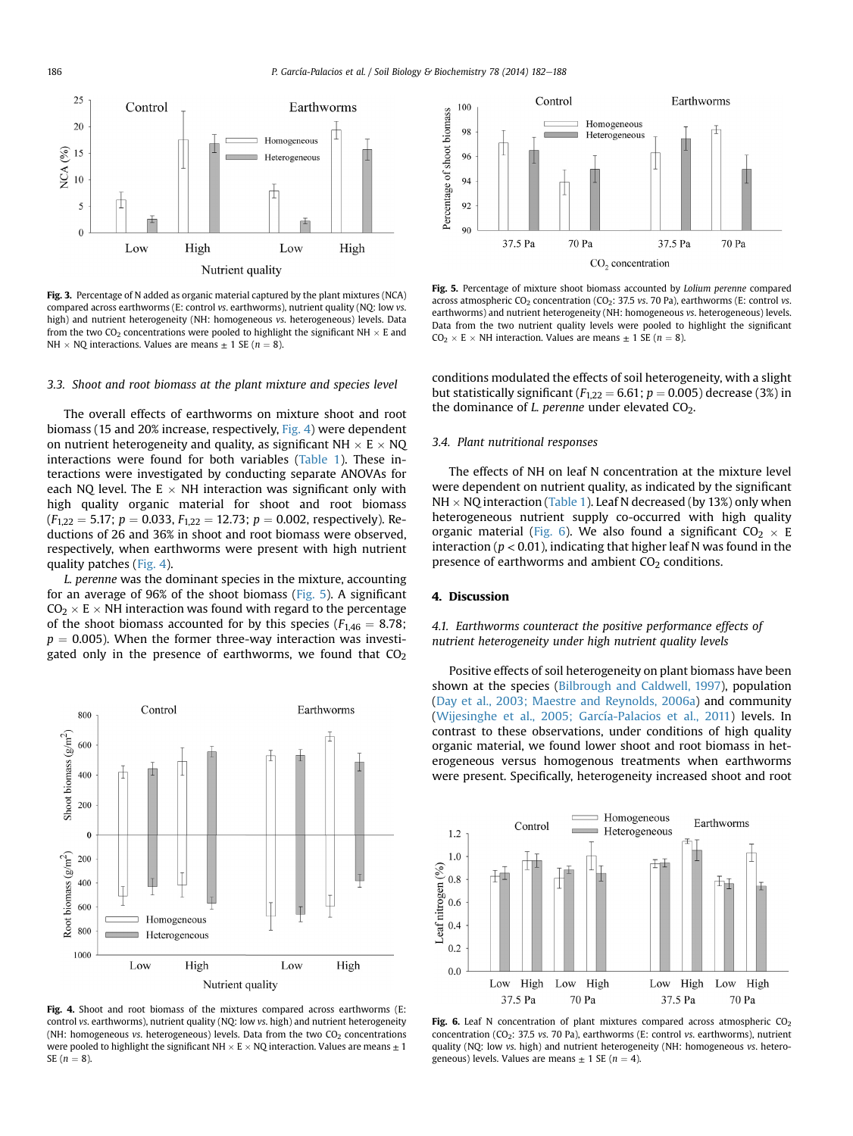<span id="page-4-0"></span>

Fig. 3. Percentage of N added as organic material captured by the plant mixtures (NCA) compared across earthworms (E: control vs. earthworms), nutrient quality (NQ: low vs. high) and nutrient heterogeneity (NH: homogeneous vs. heterogeneous) levels. Data from the two CO<sub>2</sub> concentrations were pooled to highlight the significant NH  $\times$  E and NH  $\times$  NQ interactions. Values are means  $\pm$  1 SE ( $n = 8$ ).

## 3.3. Shoot and root biomass at the plant mixture and species level

The overall effects of earthworms on mixture shoot and root biomass (15 and 20% increase, respectively, Fig. 4) were dependent on nutrient heterogeneity and quality, as significant NH  $\times$  E  $\times$  NQ interactions were found for both variables ([Table 1\)](#page-3-0). These interactions were investigated by conducting separate ANOVAs for each NQ level. The  $E \times NH$  interaction was significant only with high quality organic material for shoot and root biomass  $(F_{1,22} = 5.17; p = 0.033, F_{1,22} = 12.73; p = 0.002$ , respectively). Reductions of 26 and 36% in shoot and root biomass were observed, respectively, when earthworms were present with high nutrient quality patches (Fig. 4).

L. perenne was the dominant species in the mixture, accounting for an average of 96% of the shoot biomass (Fig. 5). A significant  $CO<sub>2</sub> \times E \times NH$  interaction was found with regard to the percentage of the shoot biomass accounted for by this species ( $F_{1,46} = 8.78$ ;  $p = 0.005$ ). When the former three-way interaction was investigated only in the presence of earthworms, we found that  $CO<sub>2</sub>$ 



Fig. 4. Shoot and root biomass of the mixtures compared across earthworms (E: control vs. earthworms), nutrient quality (NQ: low vs. high) and nutrient heterogeneity (NH: homogeneous vs. heterogeneous) levels. Data from the two  $CO<sub>2</sub>$  concentrations were pooled to highlight the significant NH  $\times$  E  $\times$  NQ interaction. Values are means  $\pm$  1 SE  $(n = 8)$ .



Fig. 5. Percentage of mixture shoot biomass accounted by *Lolium perenne* compared across atmospheric  $CO_2$  concentration ( $CO_2$ : 37.5 vs. 70 Pa), earthworms (E: control vs. earthworms) and nutrient heterogeneity (NH: homogeneous vs. heterogeneous) levels. Data from the two nutrient quality levels were pooled to highlight the significant  $CO<sub>2</sub> \times E \times NH$  interaction. Values are means  $\pm$  1 SE (n = 8).

conditions modulated the effects of soil heterogeneity, with a slight but statistically significant ( $F_{1,22} = 6.61$ ;  $p = 0.005$ ) decrease (3%) in the dominance of  $L$ . perenne under elevated  $CO<sub>2</sub>$ .

## 3.4. Plant nutritional responses

The effects of NH on leaf N concentration at the mixture level were dependent on nutrient quality, as indicated by the significant  $NH \times NQ$  interaction [\(Table 1\)](#page-3-0). Leaf N decreased (by 13%) only when heterogeneous nutrient supply co-occurred with high quality organic material (Fig. 6). We also found a significant  $CO_2 \times E$ interaction ( $p < 0.01$ ), indicating that higher leaf N was found in the presence of earthworms and ambient  $CO<sub>2</sub>$  conditions.

## 4. Discussion

# 4.1. Earthworms counteract the positive performance effects of nutrient heterogeneity under high nutrient quality levels

Positive effects of soil heterogeneity on plant biomass have been shown at the species [\(Bilbrough and Caldwell, 1997](#page-6-0)), population ([Day et al., 2003; Maestre and Reynolds, 2006a\)](#page-6-0) and community ([Wijesinghe et al., 2005; García-Palacios et al., 2011](#page-6-0)) levels. In contrast to these observations, under conditions of high quality organic material, we found lower shoot and root biomass in heterogeneous versus homogenous treatments when earthworms were present. Specifically, heterogeneity increased shoot and root



Fig. 6. Leaf N concentration of plant mixtures compared across atmospheric  $CO<sub>2</sub>$ concentration (CO2: 37.5 vs. 70 Pa), earthworms (E: control vs. earthworms), nutrient quality (NQ: low vs. high) and nutrient heterogeneity (NH: homogeneous vs. heterogeneous) levels. Values are means  $\pm$  1 SE ( $n = 4$ ).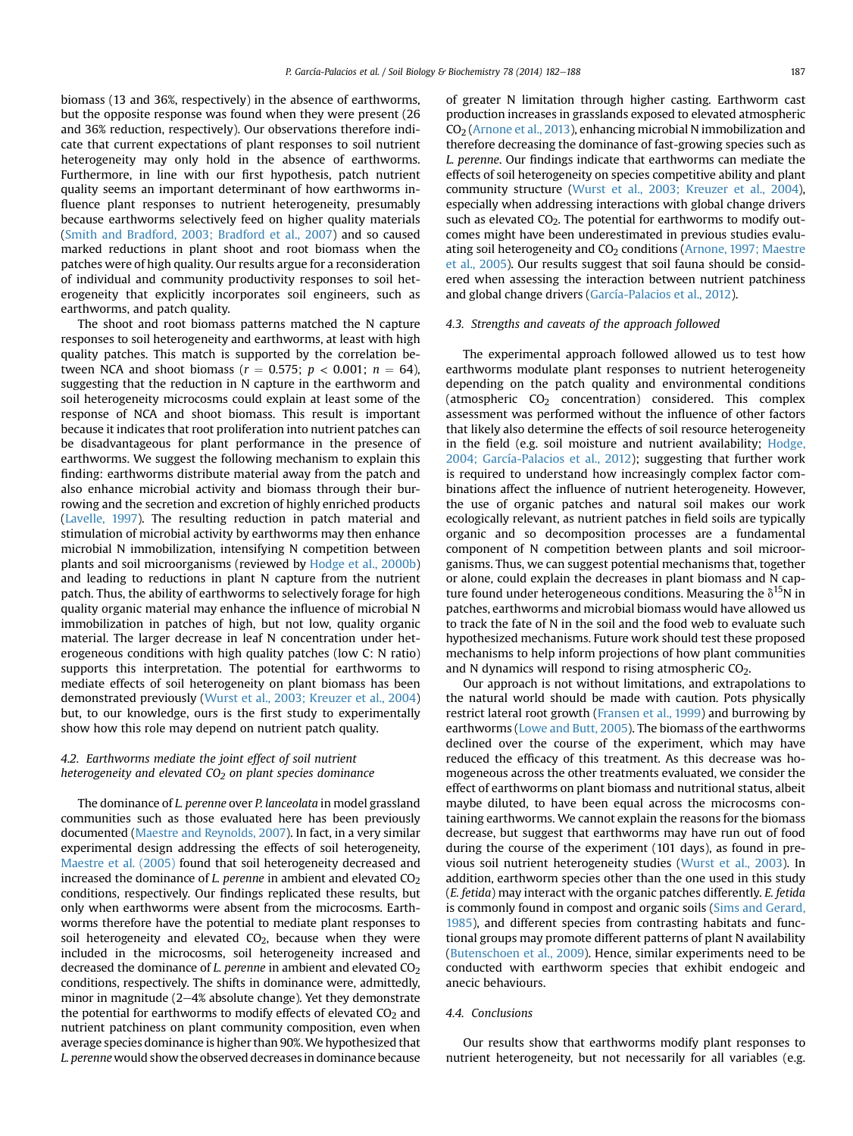biomass (13 and 36%, respectively) in the absence of earthworms, but the opposite response was found when they were present (26 and 36% reduction, respectively). Our observations therefore indicate that current expectations of plant responses to soil nutrient heterogeneity may only hold in the absence of earthworms. Furthermore, in line with our first hypothesis, patch nutrient quality seems an important determinant of how earthworms influence plant responses to nutrient heterogeneity, presumably because earthworms selectively feed on higher quality materials ([Smith and Bradford, 2003; Bradford et al., 2007](#page-6-0)) and so caused marked reductions in plant shoot and root biomass when the patches were of high quality. Our results argue for a reconsideration of individual and community productivity responses to soil heterogeneity that explicitly incorporates soil engineers, such as earthworms, and patch quality.

The shoot and root biomass patterns matched the N capture responses to soil heterogeneity and earthworms, at least with high quality patches. This match is supported by the correlation between NCA and shoot biomass ( $r = 0.575$ ;  $p < 0.001$ ;  $n = 64$ ), suggesting that the reduction in N capture in the earthworm and soil heterogeneity microcosms could explain at least some of the response of NCA and shoot biomass. This result is important because it indicates that root proliferation into nutrient patches can be disadvantageous for plant performance in the presence of earthworms. We suggest the following mechanism to explain this finding: earthworms distribute material away from the patch and also enhance microbial activity and biomass through their burrowing and the secretion and excretion of highly enriched products ([Lavelle, 1997](#page-6-0)). The resulting reduction in patch material and stimulation of microbial activity by earthworms may then enhance microbial N immobilization, intensifying N competition between plants and soil microorganisms (reviewed by [Hodge et al., 2000b\)](#page-6-0) and leading to reductions in plant N capture from the nutrient patch. Thus, the ability of earthworms to selectively forage for high quality organic material may enhance the influence of microbial N immobilization in patches of high, but not low, quality organic material. The larger decrease in leaf N concentration under heterogeneous conditions with high quality patches (low C: N ratio) supports this interpretation. The potential for earthworms to mediate effects of soil heterogeneity on plant biomass has been demonstrated previously ([Wurst et al., 2003; Kreuzer et al., 2004\)](#page-6-0) but, to our knowledge, ours is the first study to experimentally show how this role may depend on nutrient patch quality.

# 4.2. Earthworms mediate the joint effect of soil nutrient heterogeneity and elevated  $CO<sub>2</sub>$  on plant species dominance

The dominance of L. perenne over P. lanceolata in model grassland communities such as those evaluated here has been previously documented ([Maestre and Reynolds, 2007\)](#page-6-0). In fact, in a very similar experimental design addressing the effects of soil heterogeneity, [Maestre et al. \(2005\)](#page-6-0) found that soil heterogeneity decreased and increased the dominance of  $L$ , perenne in ambient and elevated  $CO<sub>2</sub>$ conditions, respectively. Our findings replicated these results, but only when earthworms were absent from the microcosms. Earthworms therefore have the potential to mediate plant responses to soil heterogeneity and elevated  $CO<sub>2</sub>$ , because when they were included in the microcosms, soil heterogeneity increased and decreased the dominance of  $L$ , perenne in ambient and elevated  $CO<sub>2</sub>$ conditions, respectively. The shifts in dominance were, admittedly, minor in magnitude  $(2-4%$  absolute change). Yet they demonstrate the potential for earthworms to modify effects of elevated  $CO<sub>2</sub>$  and nutrient patchiness on plant community composition, even when average species dominance is higher than 90%.We hypothesized that L. perenne would show the observed decreases in dominance because of greater N limitation through higher casting. Earthworm cast production increases in grasslands exposed to elevated atmospheric CO2 [\(Arnone et al., 2013](#page-6-0)), enhancing microbial N immobilization and therefore decreasing the dominance of fast-growing species such as L. perenne. Our findings indicate that earthworms can mediate the effects of soil heterogeneity on species competitive ability and plant community structure ([Wurst et al., 2003; Kreuzer et al., 2004\)](#page-6-0), especially when addressing interactions with global change drivers such as elevated  $CO<sub>2</sub>$ . The potential for earthworms to modify outcomes might have been underestimated in previous studies evalu-ating soil heterogeneity and CO<sub>2</sub> conditions [\(Arnone, 1997; Maestre](#page-6-0) [et al., 2005\)](#page-6-0). Our results suggest that soil fauna should be considered when assessing the interaction between nutrient patchiness and global change drivers [\(García-Palacios et al., 2012\)](#page-6-0).

#### 4.3. Strengths and caveats of the approach followed

The experimental approach followed allowed us to test how earthworms modulate plant responses to nutrient heterogeneity depending on the patch quality and environmental conditions (atmospheric  $CO<sub>2</sub>$  concentration) considered. This complex assessment was performed without the influence of other factors that likely also determine the effects of soil resource heterogeneity in the field (e.g. soil moisture and nutrient availability; [Hodge,](#page-6-0) [2004; García-Palacios et al., 2012](#page-6-0)); suggesting that further work is required to understand how increasingly complex factor combinations affect the influence of nutrient heterogeneity. However, the use of organic patches and natural soil makes our work ecologically relevant, as nutrient patches in field soils are typically organic and so decomposition processes are a fundamental component of N competition between plants and soil microorganisms. Thus, we can suggest potential mechanisms that, together or alone, could explain the decreases in plant biomass and N capture found under heterogeneous conditions. Measuring the  $\delta^{15}N$  in patches, earthworms and microbial biomass would have allowed us to track the fate of N in the soil and the food web to evaluate such hypothesized mechanisms. Future work should test these proposed mechanisms to help inform projections of how plant communities and N dynamics will respond to rising atmospheric  $CO<sub>2</sub>$ .

Our approach is not without limitations, and extrapolations to the natural world should be made with caution. Pots physically restrict lateral root growth [\(Fransen et al., 1999](#page-6-0)) and burrowing by earthworms [\(Lowe and Butt, 2005\)](#page-6-0). The biomass of the earthworms declined over the course of the experiment, which may have reduced the efficacy of this treatment. As this decrease was homogeneous across the other treatments evaluated, we consider the effect of earthworms on plant biomass and nutritional status, albeit maybe diluted, to have been equal across the microcosms containing earthworms. We cannot explain the reasons for the biomass decrease, but suggest that earthworms may have run out of food during the course of the experiment (101 days), as found in previous soil nutrient heterogeneity studies ([Wurst et al., 2003\)](#page-6-0). In addition, earthworm species other than the one used in this study (E. fetida) may interact with the organic patches differently. E. fetida is commonly found in compost and organic soils ([Sims and Gerard,](#page-6-0) [1985\)](#page-6-0), and different species from contrasting habitats and functional groups may promote different patterns of plant N availability ([Butenschoen et al., 2009\)](#page-6-0). Hence, similar experiments need to be conducted with earthworm species that exhibit endogeic and anecic behaviours.

## 4.4. Conclusions

Our results show that earthworms modify plant responses to nutrient heterogeneity, but not necessarily for all variables (e.g.